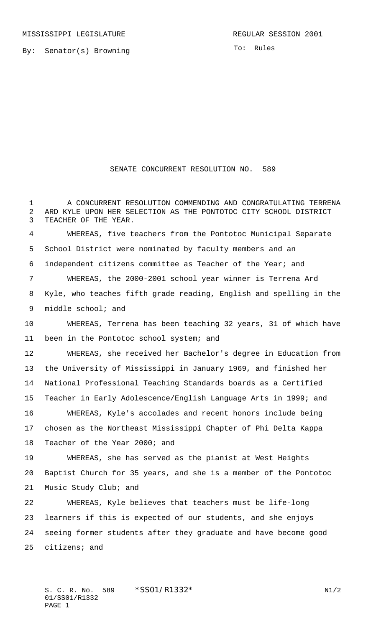By: Senator(s) Browning

To: Rules

## SENATE CONCURRENT RESOLUTION NO. 589

 A CONCURRENT RESOLUTION COMMENDING AND CONGRATULATING TERRENA ARD KYLE UPON HER SELECTION AS THE PONTOTOC CITY SCHOOL DISTRICT TEACHER OF THE YEAR.

 WHEREAS, five teachers from the Pontotoc Municipal Separate School District were nominated by faculty members and an independent citizens committee as Teacher of the Year; and

 WHEREAS, the 2000-2001 school year winner is Terrena Ard Kyle, who teaches fifth grade reading, English and spelling in the middle school; and

 WHEREAS, Terrena has been teaching 32 years, 31 of which have 11 been in the Pontotoc school system; and

 WHEREAS, she received her Bachelor's degree in Education from the University of Mississippi in January 1969, and finished her National Professional Teaching Standards boards as a Certified Teacher in Early Adolescence/English Language Arts in 1999; and WHEREAS, Kyle's accolades and recent honors include being chosen as the Northeast Mississippi Chapter of Phi Delta Kappa Teacher of the Year 2000; and

 WHEREAS, she has served as the pianist at West Heights Baptist Church for 35 years, and she is a member of the Pontotoc Music Study Club; and

 WHEREAS, Kyle believes that teachers must be life-long learners if this is expected of our students, and she enjoys seeing former students after they graduate and have become good citizens; and